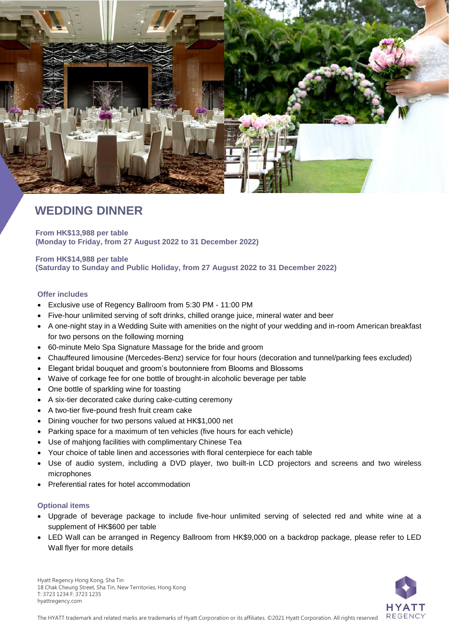

# **WEDDING DINNER**

**From HK\$13,988 per table (Monday to Friday, from 27 August 2022 to 31 December 2022)**

**From HK\$14,988 per table (Saturday to Sunday and Public Holiday, from 27 August 2022 to 31 December 2022)**

### **Offer includes**

- Exclusive use of Regency Ballroom from 5:30 PM 11:00 PM
- Five-hour unlimited serving of soft drinks, chilled orange juice, mineral water and beer
- A one-night stay in a Wedding Suite with amenities on the night of your wedding and in-room American breakfast for two persons on the following morning
- 60-minute Melo Spa Signature Massage for the bride and groom
- Chauffeured limousine (Mercedes-Benz) service for four hours (decoration and tunnel/parking fees excluded)
- Elegant bridal bouquet and groom's boutonniere from Blooms and Blossoms
- Waive of corkage fee for one bottle of brought-in alcoholic beverage per table
- One bottle of sparkling wine for toasting
- A six-tier decorated cake during cake-cutting ceremony
- A two-tier five-pound fresh fruit cream cake
- Dining voucher for two persons valued at HK\$1,000 net
- Parking space for a maximum of ten vehicles (five hours for each vehicle)
- Use of mahjong facilities with complimentary Chinese Tea
- Your choice of table linen and accessories with floral centerpiece for each table
- Use of audio system, including a DVD player, two built-in LCD projectors and screens and two wireless microphones
- Preferential rates for hotel accommodation

#### **Optional items**

- Upgrade of beverage package to include five-hour unlimited serving of selected red and white wine at a supplement of HK\$600 per table
- LED Wall can be arranged in Regency Ballroom from HK\$9,000 on a backdrop package, please refer to LED Wall flyer for more details



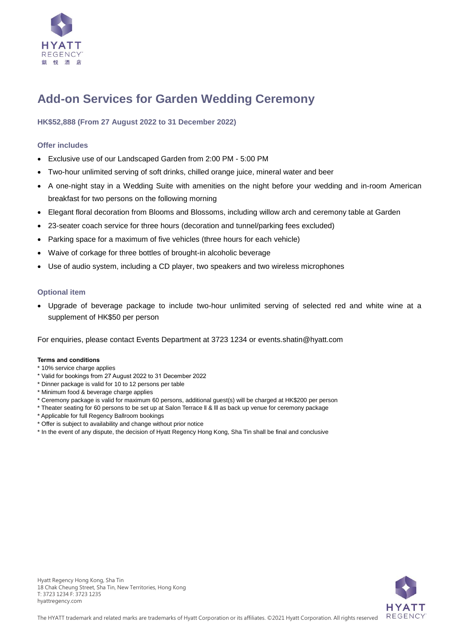

# **Add-on Services for Garden Wedding Ceremony**

## **HK\$52,888 (From 27 August 2022 to 31 December 2022)**

## **Offer includes**

- Exclusive use of our Landscaped Garden from 2:00 PM 5:00 PM
- Two-hour unlimited serving of soft drinks, chilled orange juice, mineral water and beer
- A one-night stay in a Wedding Suite with amenities on the night before your wedding and in-room American breakfast for two persons on the following morning
- Elegant floral decoration from Blooms and Blossoms, including willow arch and ceremony table at Garden
- 23-seater coach service for three hours (decoration and tunnel/parking fees excluded)
- Parking space for a maximum of five vehicles (three hours for each vehicle)
- Waive of corkage for three bottles of brought-in alcoholic beverage
- Use of audio system, including a CD player, two speakers and two wireless microphones

### **Optional item**

 Upgrade of beverage package to include two-hour unlimited serving of selected red and white wine at a supplement of HK\$50 per person

For enquiries, please contact Events Department at 3723 1234 or [events.shatin@hyatt.com](mailto:events.shatin@hyatt.com)

#### **Terms and conditions**

- \* 10% service charge applies
- \* Valid for bookings from 27 August 2022 to 31 December 2022
- \* Dinner package is valid for 10 to 12 persons per table
- \* Minimum food & beverage charge applies
- \* Ceremony package is valid for maximum 60 persons, additional guest(s) will be charged at HK\$200 per person
- \* Theater seating for 60 persons to be set up at Salon Terrace ll & lll as back up venue for ceremony package
- \* Applicable for full Regency Ballroom bookings
- \* Offer is subject to availability and change without prior notice
- \* In the event of any dispute, the decision of Hyatt Regency Hong Kong, Sha Tin shall be final and conclusive

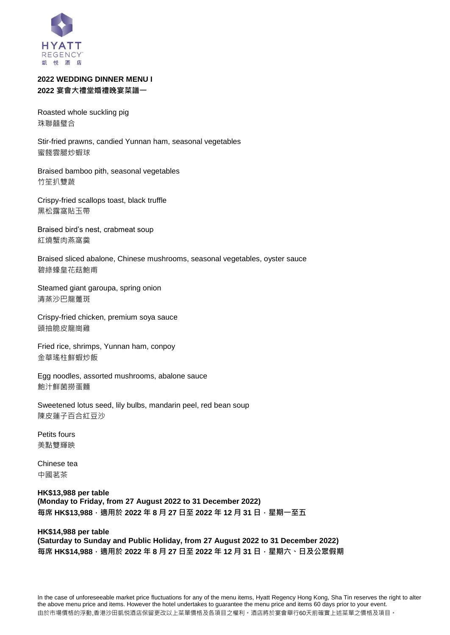

# **2022 WEDDING DINNER MENU I 2022 宴會大禮堂婚禮晚宴菜譜一**

Roasted whole suckling pig 珠聯囍璧合

Stir-fried prawns, candied Yunnan ham, seasonal vegetables 蜜餞雲腿炒蝦球

Braised bamboo pith, seasonal vegetables 竹笙扒雙蔬

Crispy-fried scallops toast, black truffle 黑松露窩貼玉帶

Braised bird's nest, crabmeat soup 紅燒蟹肉燕窩羹

Braised sliced abalone, Chinese mushrooms, seasonal vegetables, oyster sauce 碧綠蠔皇花菇鮑甫

Steamed giant garoupa, spring onion 清蒸沙巴龍躉斑

Crispy-fried chicken, premium soya sauce 頭抽脆皮龍崗雞

Fried rice, shrimps, Yunnan ham, conpoy 金華瑤柱鮮蝦炒飯

Egg noodles, assorted mushrooms, abalone sauce 鮑汁鮮菌撈蛋麵

Sweetened lotus seed, lily bulbs, mandarin peel, red bean soup 陳皮蓮子百合紅豆沙

Petits fours 美點雙輝映

Chinese tea 中國茗茶

**HK\$13,988 per table (Monday to Friday, from 27 August 2022 to 31 December 2022) 每席 HK\$13,988,適用於 2022 年 8 月 27 日至 2022 年 12 月 31 日,星期一至五**

## **HK\$14,988 per table (Saturday to Sunday and Public Holiday, from 27 August 2022 to 31 December 2022) 每席 HK\$14,988,適用於 2022 年 8 月 27 日至 2022 年 12 月 31 日,星期六、日及公眾假期**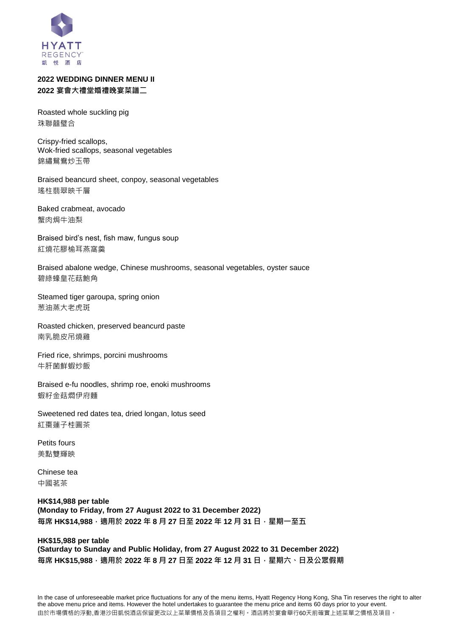

# **2022 WEDDING DINNER MENU II 2022 宴會大禮堂婚禮晚宴菜譜二**

Roasted whole suckling pig 珠聯囍璧合

Crispy-fried scallops, Wok-fried scallops, seasonal vegetables 錦繡鴛鴦炒玉帶

Braised beancurd sheet, conpoy, seasonal vegetables 瑤柱翡翠映千層

Baked crabmeat, avocado 蟹肉焗牛油梨

Braised bird's nest, fish maw, fungus soup 紅燒花膠榆耳燕窩羹

Braised abalone wedge, Chinese mushrooms, seasonal vegetables, oyster sauce 碧綠蠔皇花菇鮑角

Steamed tiger garoupa, spring onion 葱油蒸大老虎斑

Roasted chicken, preserved beancurd paste 南乳脆皮吊燒雞

Fried rice, shrimps, porcini mushrooms 牛肝菌鮮蝦炒飯

Braised e-fu noodles, shrimp roe, enoki mushrooms 蝦籽金菇燜伊府麵

Sweetened red dates tea, dried longan, lotus seed 紅棗蓮子桂圓茶

Petits fours 美點雙輝映

Chinese tea 中國茗茶

**HK\$14,988 per table (Monday to Friday, from 27 August 2022 to 31 December 2022) 每席 HK\$14,988,適用於 2022 年 8 月 27 日至 2022 年 12 月 31 日,星期一至五**

#### **HK\$15,988 per table**

**(Saturday to Sunday and Public Holiday, from 27 August 2022 to 31 December 2022) 每席 HK\$15,988,適用於 2022 年 8 月 27 日至 2022 年 12 月 31 日,星期六、日及公眾假期**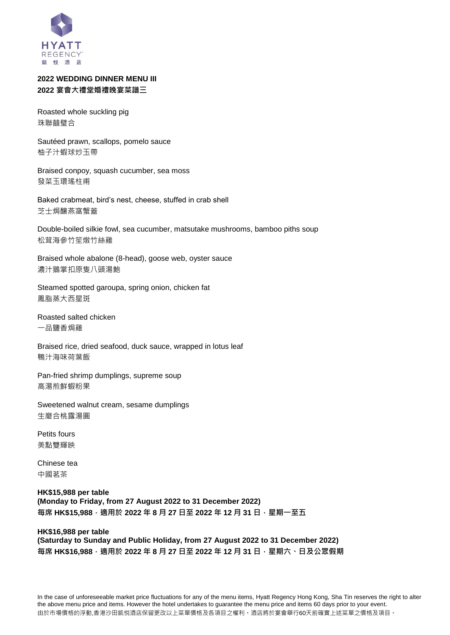

## **2022 WEDDING DINNER MENU III 2022 宴會大禮堂婚禮晚宴菜譜三**

Roasted whole suckling pig 珠聯囍璧合

Sautéed prawn, scallops, pomelo sauce 柚子汁蝦球炒玉帶

Braised conpoy, squash cucumber, sea moss 發菜玉環瑤柱甫

Baked crabmeat, bird's nest, cheese, stuffed in crab shell 芝士焗釀燕窩蟹蓋

Double-boiled silkie fowl, sea cucumber, matsutake mushrooms, bamboo piths soup 松茸海參竹笙燉竹絲雞

Braised whole abalone (8-head), goose web, oyster sauce 濃汁鵝掌扣原隻八頭湯鮑

Steamed spotted garoupa, spring onion, chicken fat 鳳脂蒸大西星斑

Roasted salted chicken 一品鹽香焗雞

Braised rice, dried seafood, duck sauce, wrapped in lotus leaf 鴨汁海味荷葉飯

Pan-fried shrimp dumplings, supreme soup 高湯煎鮮蝦粉果

Sweetened walnut cream, sesame dumplings 生磨合桃露湯圓

Petits fours 美點雙輝映

Chinese tea 中國茗茶

**HK\$15,988 per table (Monday to Friday, from 27 August 2022 to 31 December 2022) 每席 HK\$15,988,適用於 2022 年 8 月 27 日至 2022 年 12 月 31 日,星期一至五**

## **HK\$16,988 per table (Saturday to Sunday and Public Holiday, from 27 August 2022 to 31 December 2022) 每席 HK\$16,988,適用於 2022 年 8 月 27 日至 2022 年 12 月 31 日,星期六、日及公眾假期**